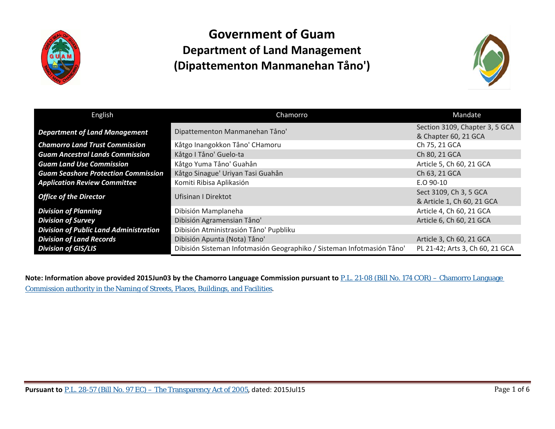



| English                                       | Chamorro                                                               | Mandate                                                |
|-----------------------------------------------|------------------------------------------------------------------------|--------------------------------------------------------|
| <b>Department of Land Management</b>          | Dipattementon Manmanehan Tåno'                                         | Section 3109, Chapter 3, 5 GCA<br>& Chapter 60, 21 GCA |
| <b>Chamorro Land Trust Commission</b>         | Kåtgo Inangokkon Tåno' CHamoru                                         | Ch 75, 21 GCA                                          |
| <b>Guam Ancestral Lands Commission</b>        | Kåtgo I Tåno' Guelo-ta                                                 | Ch 80, 21 GCA                                          |
| <b>Guam Land Use Commission</b>               | Kåtgo Yuma Tåno' Guahån                                                | Article 5, Ch 60, 21 GCA                               |
| <b>Guam Seashore Protection Commission</b>    | Kåtgo Sinague' Uriyan Tasi Guahån                                      | Ch 63, 21 GCA                                          |
| <b>Application Review Committee</b>           | Komiti Ribisa Aplikasión                                               | E.O 90-10                                              |
| <b>Office of the Director</b>                 | Ufisinan I Direktot                                                    | Sect 3109, Ch 3, 5 GCA<br>& Article 1, Ch 60, 21 GCA   |
| <b>Division of Planning</b>                   | Dibisión Mamplaneha                                                    | Article 4, Ch 60, 21 GCA                               |
| <b>Division of Survey</b>                     | Dibisión Agramensian Tåno'                                             | Article 6, Ch 60, 21 GCA                               |
| <b>Division of Public Land Administration</b> | Dibisión Atministrasión Tåno' Pupbliku                                 |                                                        |
| <b>Division of Land Records</b>               | Dibisión Apunta (Nota) Tåno'                                           | Article 3, Ch 60, 21 GCA                               |
| <b>Division of GIS/LIS</b>                    | Dibisión Sisteman Infotmasión Geographiko / Sisteman Infotmasión Tåno' | PL 21-42; Arts 3, Ch 60, 21 GCA                        |

**Note: Information above provided 2015Jun03 by the Chamorro Language Commission pursuant to** [P.L. 21-08 \(Bill No. 174 COR\) –](http://www.guamlegislature.com/Public_Laws_21st/P.L.%2021-08.pdf) Chamorro Language [Commission authority in the Naming of Streets, Places, Buildings, and Facilities](http://www.guamlegislature.com/Public_Laws_21st/P.L.%2021-08.pdf).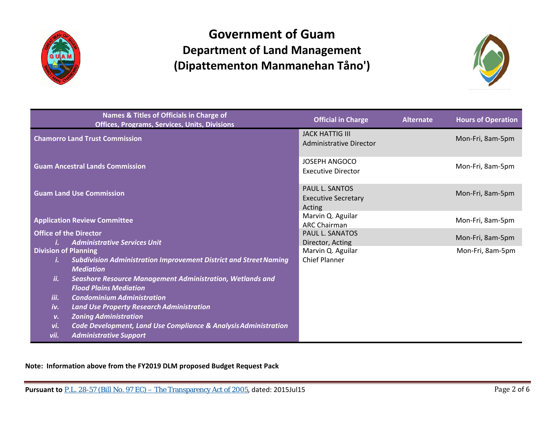



|                             | Names & Titles of Officials in Charge of<br><b>Offices, Programs, Services, Units, Divisions</b>  | <b>Official in Charge</b>                              | <b>Alternate</b> | <b>Hours of Operation</b> |
|-----------------------------|---------------------------------------------------------------------------------------------------|--------------------------------------------------------|------------------|---------------------------|
|                             | <b>Chamorro Land Trust Commission</b>                                                             | <b>JACK HATTIG III</b><br>Administrative Director      |                  | Mon-Fri, 8am-5pm          |
|                             | <b>Guam Ancestral Lands Commission</b>                                                            | <b>JOSEPH ANGOCO</b><br><b>Executive Director</b>      |                  | Mon-Fri, 8am-5pm          |
|                             | <b>Guam Land Use Commission</b>                                                                   | PAUL L. SANTOS<br><b>Executive Secretary</b><br>Acting |                  | Mon-Fri, 8am-5pm          |
|                             | <b>Application Review Committee</b>                                                               | Marvin Q. Aguilar<br><b>ARC Chairman</b>               |                  | Mon-Fri, 8am-5pm          |
| i.                          | <b>Office of the Director</b><br><b>Administrative Services Unit</b>                              | PAUL L. SANATOS<br>Director, Acting                    |                  | Mon-Fri, 8am-5pm          |
| <b>Division of Planning</b> |                                                                                                   | Marvin Q. Aguilar                                      |                  | Mon-Fri, 8am-5pm          |
| i.                          | <b>Subdivision Administration Improvement District and Street Naming</b><br><b>Mediation</b>      | <b>Chief Planner</b>                                   |                  |                           |
| ii.                         | <b>Seashore Resource Management Administration, Wetlands and</b><br><b>Flood Plains Mediation</b> |                                                        |                  |                           |
| iii.                        | <b>Condominium Administration</b>                                                                 |                                                        |                  |                           |
| iv.                         | <b>Land Use Property Research Administration</b>                                                  |                                                        |                  |                           |
| v.                          | <b>Zoning Administration</b>                                                                      |                                                        |                  |                           |
| vi.                         | <b>Code Development, Land Use Compliance &amp; Analysis Administration</b>                        |                                                        |                  |                           |
| vii.                        | <b>Administrative Support</b>                                                                     |                                                        |                  |                           |

**Note: Information above from the FY2019 DLM proposed Budget Request Pack**

**Pursuant to** P.L. 28-57 (Bill No. 97 EC) – The Transparency Act of 2005, dated: 2015Jul15 Page 2 of 6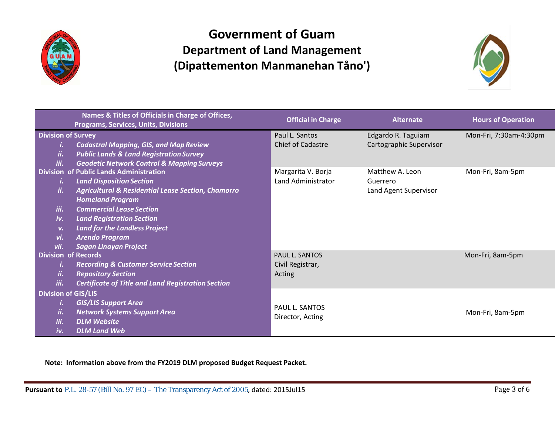



| Names & Titles of Officials in Charge of Offices,<br><b>Programs, Services, Units, Divisions</b>                                                                                                                                                                                                                                                                                                 | <b>Official in Charge</b>                           | <b>Alternate</b>                                     | <b>Hours of Operation</b> |
|--------------------------------------------------------------------------------------------------------------------------------------------------------------------------------------------------------------------------------------------------------------------------------------------------------------------------------------------------------------------------------------------------|-----------------------------------------------------|------------------------------------------------------|---------------------------|
| <b>Division of Survey</b><br><b>Cadastral Mapping, GIS, and Map Review</b><br><b>Public Lands &amp; Land Registration Survey</b><br>ii.<br><b>Geodetic Network Control &amp; Mapping Surveys</b><br>iii.                                                                                                                                                                                         | Paul L. Santos<br><b>Chief of Cadastre</b>          | Edgardo R. Taguiam<br>Cartographic Supervisor        | Mon-Fri, 7:30am-4:30pm    |
| <b>Division of Public Lands Administration</b><br><b>Land Disposition Section</b><br><b>Agricultural &amp; Residential Lease Section, Chamorro</b><br>ii.<br><b>Homeland Program</b><br><b>Commercial Lease Section</b><br>iii.<br>iv.<br><b>Land Registration Section</b><br><b>Land for the Landless Project</b><br>v.<br><b>Arendo Program</b><br>vi.<br><b>Sagan Linayan Project</b><br>vii. | Margarita V. Borja<br>Land Administrator            | Matthew A. Leon<br>Guerrero<br>Land Agent Supervisor | Mon-Fri, 8am-5pm          |
| <b>Division of Records</b><br><b>Recording &amp; Customer Service Section</b><br>ii.<br><b>Repository Section</b><br>iii.<br><b>Certificate of Title and Land Registration Section</b>                                                                                                                                                                                                           | <b>PAUL L. SANTOS</b><br>Civil Registrar,<br>Acting |                                                      | Mon-Fri, 8am-5pm          |
| <b>Division of GIS/LIS</b><br><b>GIS/LIS Support Area</b><br>Ĭ.<br><b>Network Systems Support Area</b><br>ii.<br>iii.<br><b>DLM Website</b><br>iv.<br><b>DLM Land Web</b>                                                                                                                                                                                                                        | <b>PAUL L. SANTOS</b><br>Director, Acting           |                                                      | Mon-Fri, 8am-5pm          |

**Note: Information above from the FY2019 DLM proposed Budget Request Packet.**

**Pursuant to** P.L. 28-57 (Bill No. 97 EC) – The Transparency Act of 2005, dated: 2015Jul15 Page 3 of 6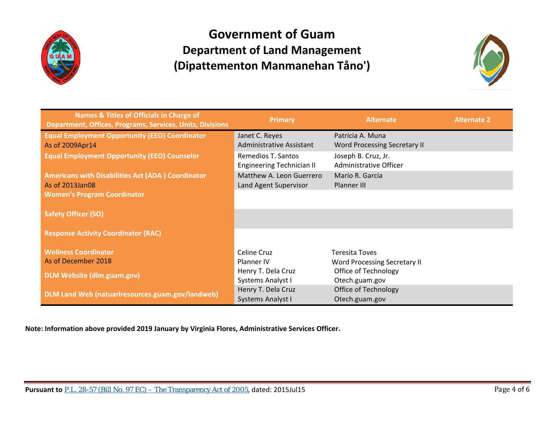



| Names & Titles of Officials in Charge of<br><b>Department, Offices, Programs, Services, Units, Divisions</b> | <b>Primary</b>                                         | <b>Alternate</b>                              | <b>Alternate 2</b> |
|--------------------------------------------------------------------------------------------------------------|--------------------------------------------------------|-----------------------------------------------|--------------------|
| <b>Equal Employment Opportunity (EEO) Coordinator</b>                                                        | Janet C. Reyes                                         | Patricia A. Muna                              |                    |
| As of 2009Apr14                                                                                              | Administrative Assistant                               | <b>Word Processing Secretary II</b>           |                    |
| <b>Equal Employment Opportunity (EEO) Counselor</b>                                                          | Remedios T. Santos<br><b>Engineering Technician II</b> | Joseph B. Cruz, Jr.<br>Administrative Officer |                    |
|                                                                                                              |                                                        |                                               |                    |
| <b>Americans with Disabilities Act (ADA) Coordinator</b>                                                     | Matthew A. Leon Guerrero                               | Mario R. Garcia                               |                    |
| As of 2013Jan08                                                                                              | Land Agent Supervisor                                  | Planner III                                   |                    |
| <b>Women's Program Coordinator</b>                                                                           |                                                        |                                               |                    |
|                                                                                                              |                                                        |                                               |                    |
| <b>Safety Officer (SO)</b>                                                                                   |                                                        |                                               |                    |
|                                                                                                              |                                                        |                                               |                    |
| <b>Response Activity Coordinator (RAC)</b>                                                                   |                                                        |                                               |                    |
|                                                                                                              |                                                        |                                               |                    |
| <b>Wellness Coordinator</b>                                                                                  | Celine Cruz                                            | <b>Teresita Toves</b>                         |                    |
| As of December 2018                                                                                          | Planner IV                                             | <b>Word Processing Secretary II</b>           |                    |
|                                                                                                              | Henry T. Dela Cruz                                     | Office of Technology                          |                    |
| <b>DLM Website (dlm.guam.gov)</b>                                                                            | Systems Analyst I                                      | Otech.guam.gov                                |                    |
|                                                                                                              | Henry T. Dela Cruz                                     | Office of Technology                          |                    |
| DLM Land Web (natuarlresources.guam.gov/landweb)                                                             | <b>Systems Analyst I</b>                               | Otech.guam.gov                                |                    |

**Note: Information above provided 2019 January by Virginia Flores, Administrative Services Officer.**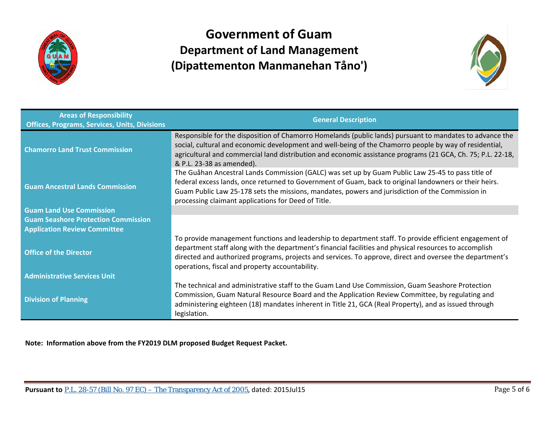



| <b>Areas of Responsibility</b><br><b>Offices, Programs, Services, Units, Divisions</b> | <b>General Description</b>                                                                                                                                                                                                                                                                                                                                                      |
|----------------------------------------------------------------------------------------|---------------------------------------------------------------------------------------------------------------------------------------------------------------------------------------------------------------------------------------------------------------------------------------------------------------------------------------------------------------------------------|
| <b>Chamorro Land Trust Commission</b>                                                  | Responsible for the disposition of Chamorro Homelands (public lands) pursuant to mandates to advance the<br>social, cultural and economic development and well-being of the Chamorro people by way of residential,<br>agricultural and commercial land distribution and economic assistance programs (21 GCA, Ch. 75; P.L. 22-18,<br>& P.L. 23-38 as amended).                  |
| <b>Guam Ancestral Lands Commission</b>                                                 | The Guåhan Ancestral Lands Commission (GALC) was set up by Guam Public Law 25-45 to pass title of<br>federal excess lands, once returned to Government of Guam, back to original landowners or their heirs.<br>Guam Public Law 25-178 sets the missions, mandates, powers and jurisdiction of the Commission in<br>processing claimant applications for Deed of Title.          |
| <b>Guam Land Use Commission</b>                                                        |                                                                                                                                                                                                                                                                                                                                                                                 |
| <b>Guam Seashore Protection Commission</b>                                             |                                                                                                                                                                                                                                                                                                                                                                                 |
| <b>Application Review Committee</b>                                                    |                                                                                                                                                                                                                                                                                                                                                                                 |
| <b>Office of the Director</b>                                                          | To provide management functions and leadership to department staff. To provide efficient engagement of<br>department staff along with the department's financial facilities and physical resources to accomplish<br>directed and authorized programs, projects and services. To approve, direct and oversee the department's<br>operations, fiscal and property accountability. |
| <b>Administrative Services Unit</b>                                                    |                                                                                                                                                                                                                                                                                                                                                                                 |
| <b>Division of Planning</b>                                                            | The technical and administrative staff to the Guam Land Use Commission, Guam Seashore Protection<br>Commission, Guam Natural Resource Board and the Application Review Committee, by regulating and<br>administering eighteen (18) mandates inherent in Title 21, GCA (Real Property), and as issued through<br>legislation.                                                    |

**Note: Information above from the FY2019 DLM proposed Budget Request Packet.**